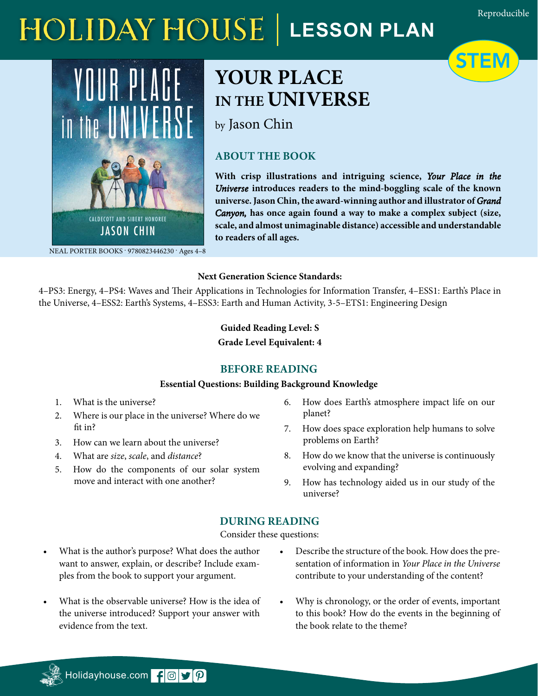STEM

# **HOLIDAY HOUSE** | LESSON PLAN



# $\sim$   $\sim$   $\sim$   $\sim$ IN THE **UNIVERSE YOUR PLACE**

by Jason Chin stars, galaxy clusters . . . and the

# **ABOUT THE BOOK**

With crisp illustrations and intriguing science, Your Place in the Universe introduces readers to the mind-boggling scale of the known universe. Jason Chin, the award-winning author and illustrator of *Grand* Canyon, has once again found a way to make a complex subject (size, to readers of all ages. **scale, and almost unimaginable distance) accessible and understandable** 

NEAL PORTER BOOKS · 9780823446230 · Ages 4-8

#### **Next Generation Science Standards:**

4–PS3: Energy, 4–PS4: Waves and Their Applications in Technologies for Information Transfer, 4–ESS1: Earth's Place in the Universe, 4–ESS2: Earth's Systems, 4–ESS3: Earth and Human Activity, 3-5–ETS1: Engineering Design

# **Guided Reading Level: S**

**Grade Level Equivalent: 4**

# **BEFORE READING**

#### **Essential Questions: Building Background Knowledge**

- 1. What is the universe?
- 2. Where is our place in the universe? Where do we fit in?
- 3. How can we learn about the universe?
- 4. What are *size*, *scale*, and *distance*?
- 5. How do the components of our solar system move and interact with one another?
- 6. How does Earth's atmosphere impact life on our planet?
- 7. How does space exploration help humans to solve problems on Earth?
- 8. How do we know that the universe is continuously evolving and expanding?
- 9. How has technology aided us in our study of the universe?

# **DURING READING**

Consider these questions:

- What is the author's purpose? What does the author want to answer, explain, or describe? Include examples from the book to support your argument.
- What is the observable universe? How is the idea of the universe introduced? Support your answer with evidence from the text.
- Describe the structure of the book. How does the presentation of information in *Your Place in the Universe* contribute to your understanding of the content?
- Why is chronology, or the order of events, important to this book? How do the events in the beginning of the book relate to the theme?